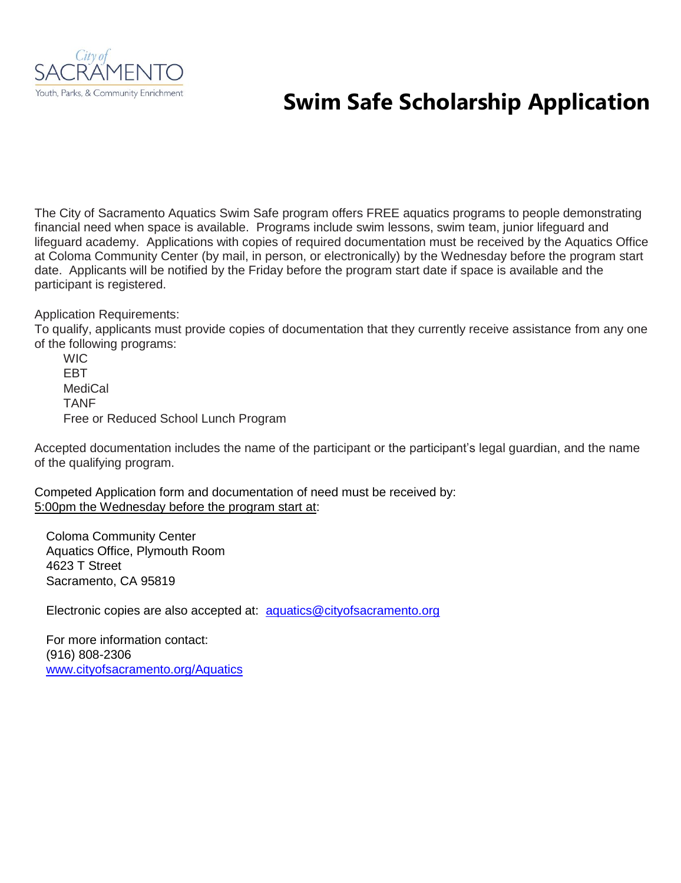

## **Swim Safe Scholarship Application**

The City of Sacramento Aquatics Swim Safe program offers FREE aquatics programs to people demonstrating financial need when space is available. Programs include swim lessons, swim team, junior lifeguard and lifeguard academy. Applications with copies of required documentation must be received by the Aquatics Office at Coloma Community Center (by mail, in person, or electronically) by the Wednesday before the program start date. Applicants will be notified by the Friday before the program start date if space is available and the participant is registered.

Application Requirements:

To qualify, applicants must provide copies of documentation that they currently receive assistance from any one of the following programs:

**WIC** EBT **MediCal** TANF Free or Reduced School Lunch Program

Accepted documentation includes the name of the participant or the participant's legal guardian, and the name of the qualifying program.

Competed Application form and documentation of need must be received by: 5:00pm the Wednesday before the program start at:

Coloma Community Center Aquatics Office, Plymouth Room 4623 T Street Sacramento, CA 95819

Electronic copies are also accepted at: [aquatics@cityofsacramento.org](mailto:aquatics@cityofsacramento.org)

For more information contact: (916) 808-2306 [www.cityofsacramento.org/Aquatics](http://www.cityofsacramento.org/Aquatics)